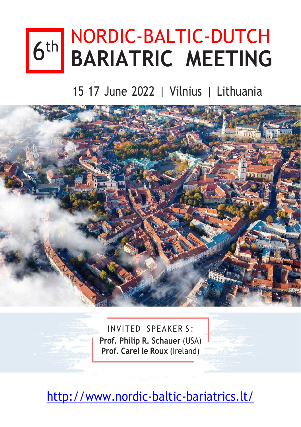# NORDIC-BALTIC-DUTCH **BARIATRIC MEETING**  $6<sup>th</sup>$

# 15–17 June 2022 | Vilnius | Lithuania



INVITED SPEAKER S: **Prof. Philip R. Schauer** (USA) **Prof. Carel le Roux** (Ireland)

<http://www.nordic-baltic-bariatrics.lt/>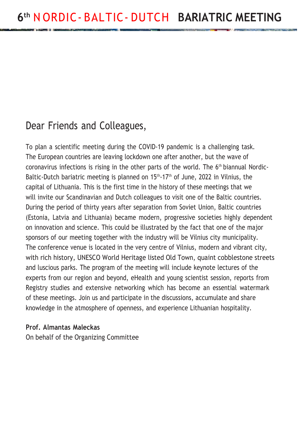### Dear Friends and Colleagues,

To plan a scientific meeting during the COVID-19 pandemic is a challenging task. The European countries are leaving lockdown one after another, but the wave of coronavirus infections is rising in the other parts of the world. The  $6^{\text{th}}$  biannual Nordic-Baltic-Dutch bariatric meeting is planned on 15<sup>th</sup>-17<sup>th</sup> of June, 2022 in Vilnius, the capital of Lithuania. This is the first time in the history of these meetings that we will invite our Scandinavian and Dutch colleagues to visit one of the Baltic countries. During the period of thirty years after separation from Soviet Union, Baltic countries (Estonia, Latvia and Lithuania) became modern, progressive societies highly dependent on innovation and science. This could be illustrated by the fact that one of the major sponsors of our meeting together with the industry will be Vilnius city municipality. The conference venue is located in the very centre of Vilnius, modern and vibrant city, with rich history, UNESCO World Heritage listed Old Town, quaint cobblestone streets and luscious parks. The program of the meeting will include keynote lectures of the experts from our region and beyond, eHealth and young scientist session, reports from Registry studies and extensive networking which has become an essential watermark of these meetings. Join us and participate in the discussions, accumulate and share knowledge in the atmosphere of openness, and experience Lithuanian hospitality.

#### **Prof. Almantas Maleckas**

On behalf of the Organizing Committee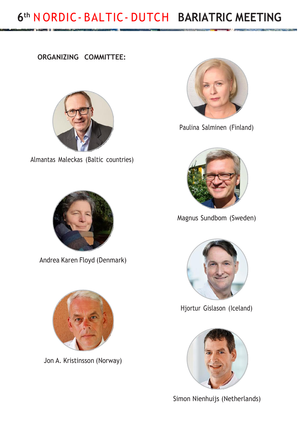#### **ORGANIZING COMMITTEE:**



Almantas Maleckas (Baltic countries)



Andrea Karen Floyd (Denmark)



Jon A. Kristinsson (Norway)



Paulina Salminen (Finland)



Magnus Sundbom (Sweden)



Hjortur Gislason (Iceland)



Simon Nienhuijs (Netherlands)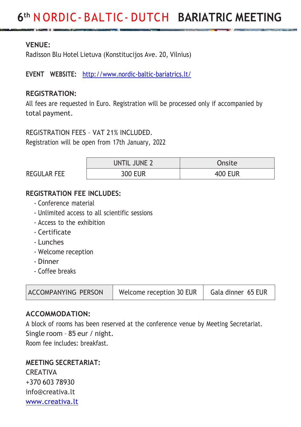#### **VENUE:**

Radisson Blu Hotel Lietuva (Konstitucijos Ave. 20, Vilnius)

**EVENT WEBSITE:** <http://www.nordic-baltic-bariatrics.lt/>

#### **REGISTRATION:**

All fees are requested in Euro. Registration will be processed only if accompanied by total payment.

#### REGISTRATION FEES – VAT 21% INCLUDED.

Registration will be open from 17th January, 2022

|             | UNTIL JUNE 2   | Onsite         |
|-------------|----------------|----------------|
| REGULAR FEE | <b>300 EUR</b> | <b>400 EUR</b> |

#### **REGISTRATION FEE INCLUDES:**

- Conference material
- Unlimited access to all scientific sessions
- Access to the exhibition
- Certificate
- Lunches
- Welcome reception
- Dinner
- Coffee breaks

| <b>ACCOMPANYING PERSON</b> | Welcome reception 30 EUR | Gala dinner 65 EUR |
|----------------------------|--------------------------|--------------------|
|----------------------------|--------------------------|--------------------|

#### **ACCOMMODATION:**

A block of rooms has been reserved at the conference venue by Meeting Secretariat. Single room – 85 eur / night.

Room fee includes: breakfast.

#### **MEETING SECRETARIAT:**

**CREATIVA** +370 603 78930 [info@creativa.lt](mailto:info@creativa.lt) [www.creativa.lt](http://www.creativa.lt/)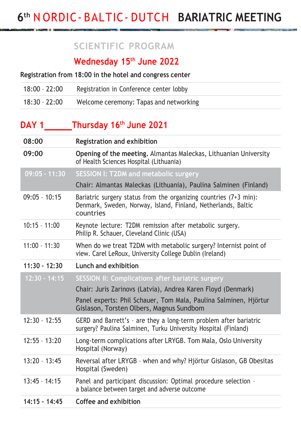### **SCIENTIFIC PROGRAM**

### **Wednesday 15th June 2022**

**Registration from 18:00 in the hotel and congress center**

| 18:00 - 22:00 | Registration in Conference center lobby |
|---------------|-----------------------------------------|
| 18:30 - 22:00 | Welcome ceremony: Tapas and networking  |

### **DAY 1 Thursday 16th June 2021**

| 08:00           | <b>Registration and exhibition</b>                                                                                                              |
|-----------------|-------------------------------------------------------------------------------------------------------------------------------------------------|
| 09:00           | Opening of the meeting. Almantas Maleckas, Lithuanian University<br>of Health Sciences Hospital (Lithuania)                                     |
| $09:05 - 11:30$ | <b>SESSION I: T2DM and metabolic surgery</b>                                                                                                    |
|                 | Chair: Almantas Maleckas (Lithuania), Paulina Salminen (Finland)                                                                                |
| $09:05 - 10:15$ | Bariatric surgery status from the organizing countries (7+3 min):<br>Denmark, Sweden, Norway, Island, Finland, Netherlands, Baltic<br>countries |
| $10:15 - 11:00$ | Keynote lecture: T2DM remission after metabolic surgery.<br>Philip R. Schauer, Cleveland Clinic (USA)                                           |
| $11:00 - 11:30$ | When do we treat T2DM with metabolic surgery? Internist point of<br>view. Carel LeRoux, University College Dublin (Ireland)                     |
| $11:30 - 12:30$ | Lunch and exhibition                                                                                                                            |
| $12:30 - 14:15$ | SESSION II: Complications after bariatric surgery                                                                                               |
|                 | Chair: Juris Zarinovs (Latvia), Andrea Karen Floyd (Denmark)                                                                                    |
|                 | Panel experts: Phil Schauer, Tom Mala, Paulina Salminen, Hjörtur<br>Gislason, Torsten Olbers, Magnus Sundbom                                    |
| $12:30 - 12:55$ | GERD and Barrett's - are they a long-term problem after bariatric<br>surgery? Paulina Salminen, Turku University Hospital (Finland)             |
| $12:55 - 13:20$ | Long-term complications after LRYGB. Tom Mala, Oslo University<br>Hospital (Norway)                                                             |
| $13:20 - 13:45$ | Reversal after LRYGB - when and why? Hjörtur Gislason, GB Obesitas<br>Hospital (Sweden)                                                         |
| $13:45 - 14:15$ | Panel and participant discussion: Optimal procedure selection -<br>a balance between target and adverse outcome                                 |
| $14:15 - 14:45$ | Coffee and exhibition                                                                                                                           |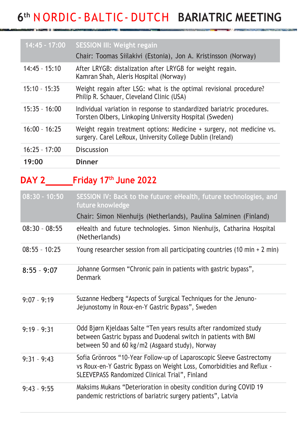| $08:30 - 10:50$ | SESSION IV: Back to the future: eHealth, future technologies, and<br>future knowledge<br>Chair: Simon Nienhuijs (Netherlands), Paulina Salminen (Finland) |
|-----------------|-----------------------------------------------------------------------------------------------------------------------------------------------------------|
| DAY 2           | Friday 17th June 2022                                                                                                                                     |
| 19:00           | <b>Dinner</b>                                                                                                                                             |
| $16:25 - 17:00$ | <b>Discussion</b>                                                                                                                                         |
| $16:00 - 16:25$ | Weight regain treatment options: Medicine + surgery, not medicine vs.<br>surgery. Carel LeRoux, University College Dublin (Ireland)                       |
| $15:35 - 16:00$ | Individual variation in response to standardized bariatric procedures.<br>Torsten Olbers, Linkoping University Hospital (Sweden)                          |
| $15:10 - 15:35$ | Weight regain after LSG: what is the optimal revisional procedure?<br>Philip R. Schauer, Cleveland Clinic (USA)                                           |
| $14:45 - 15:10$ | After LRYGB: distalization after LRYGB for weight regain.<br>Kamran Shah, Aleris Hospital (Norway)                                                        |
| $14:45 - 17:00$ | <b>SESSION III: Weight regain</b><br>Chair: Toomas Siilakivi (Estonia), Jon A. Kristinsson (Norway)                                                       |
|                 |                                                                                                                                                           |

08:30 – 08:55 eHealth and future technologies. Simon Nienhuijs, Catharina Hospital (Netherlands)

08:55 – 10:25 Young researcher session from all participating countries (10 min + 2 min)

- 8:55 9:07 Johanne Gormsen "Chronic pain in patients with gastric bypass", Denmark
- 9:07 9:19 Suzanne Hedberg "Aspects of Surgical Techniques for the Jenuno-Jejunostomy in Roux-en-Y Gastric Bypass", Sweden
- 9:19 9:31 Odd Bjørn Kjeldaas Salte "Ten years results after randomized study between Gastric bypass and Duodenal switch in patients with BMI between 50 and 60 kg/m2 (Asgaard study), Norway
- 9:31 9:43 Sofia Grönroos "10-Year Follow-up of Laparoscopic Sleeve Gastrectomy vs Roux-en-Y Gastric Bypass on Weight Loss, Comorbidities and Reflux - SLEEVEPASS Randomized Clinical Trial", Finland
- 9:43 9:55 Maksims Mukans "Deterioration in obesity condition during COVID 19 pandemic restrictions of bariatric surgery patients", Latvia